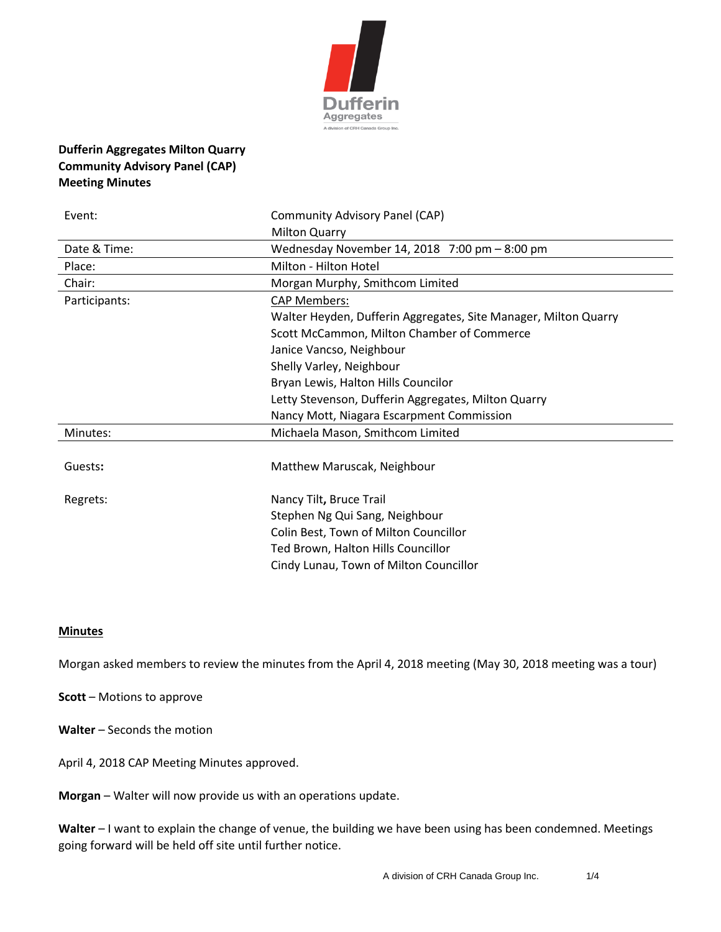

## **Dufferin Aggregates Milton Quarry Community Advisory Panel (CAP) Meeting Minutes**

| Event:        | <b>Community Advisory Panel (CAP)</b>                           |
|---------------|-----------------------------------------------------------------|
|               | <b>Milton Quarry</b>                                            |
| Date & Time:  | Wednesday November 14, 2018 7:00 pm - 8:00 pm                   |
| Place:        | Milton - Hilton Hotel                                           |
| Chair:        | Morgan Murphy, Smithcom Limited                                 |
| Participants: | <b>CAP Members:</b>                                             |
|               | Walter Heyden, Dufferin Aggregates, Site Manager, Milton Quarry |
|               | Scott McCammon, Milton Chamber of Commerce                      |
|               | Janice Vancso, Neighbour                                        |
|               | Shelly Varley, Neighbour                                        |
|               | Bryan Lewis, Halton Hills Councilor                             |
|               | Letty Stevenson, Dufferin Aggregates, Milton Quarry             |
|               | Nancy Mott, Niagara Escarpment Commission                       |
| Minutes:      | Michaela Mason, Smithcom Limited                                |
|               |                                                                 |
| Guests:       | Matthew Maruscak, Neighbour                                     |
| Regrets:      | Nancy Tilt, Bruce Trail                                         |
|               | Stephen Ng Qui Sang, Neighbour                                  |
|               | Colin Best, Town of Milton Councillor                           |
|               | Ted Brown, Halton Hills Councillor                              |
|               | Cindy Lunau, Town of Milton Councillor                          |

## **Minutes**

Morgan asked members to review the minutes from the April 4, 2018 meeting (May 30, 2018 meeting was a tour)

**Scott** – Motions to approve

**Walter** – Seconds the motion

April 4, 2018 CAP Meeting Minutes approved.

**Morgan** – Walter will now provide us with an operations update.

**Walter** – I want to explain the change of venue, the building we have been using has been condemned. Meetings going forward will be held off site until further notice.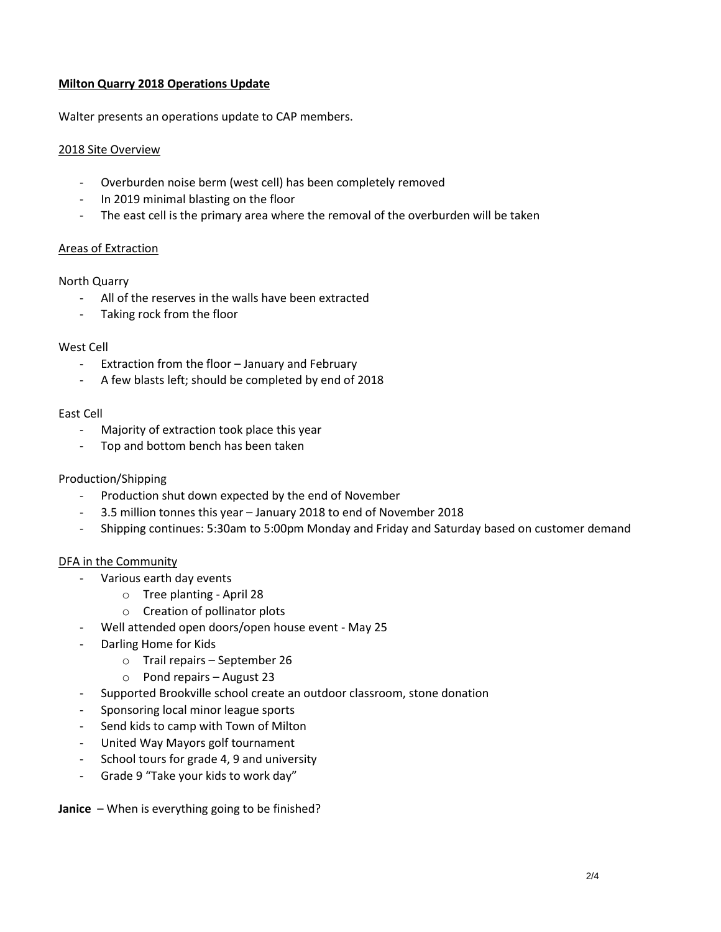## **Milton Quarry 2018 Operations Update**

Walter presents an operations update to CAP members.

## 2018 Site Overview

- Overburden noise berm (west cell) has been completely removed
- In 2019 minimal blasting on the floor
- The east cell is the primary area where the removal of the overburden will be taken

### Areas of Extraction

### North Quarry

- All of the reserves in the walls have been extracted
- Taking rock from the floor

#### West Cell

- Extraction from the floor January and February
- A few blasts left; should be completed by end of 2018

#### East Cell

- Majority of extraction took place this year
- Top and bottom bench has been taken

#### Production/Shipping

- Production shut down expected by the end of November
- 3.5 million tonnes this year January 2018 to end of November 2018
- Shipping continues: 5:30am to 5:00pm Monday and Friday and Saturday based on customer demand

#### DFA in the Community

- Various earth day events
	- o Tree planting April 28
	- o Creation of pollinator plots
- Well attended open doors/open house event May 25
- Darling Home for Kids
	- o Trail repairs September 26
	- o Pond repairs August 23
- Supported Brookville school create an outdoor classroom, stone donation
- Sponsoring local minor league sports
- Send kids to camp with Town of Milton
- United Way Mayors golf tournament
- School tours for grade 4, 9 and university
- Grade 9 "Take your kids to work day"

**Janice** – When is everything going to be finished?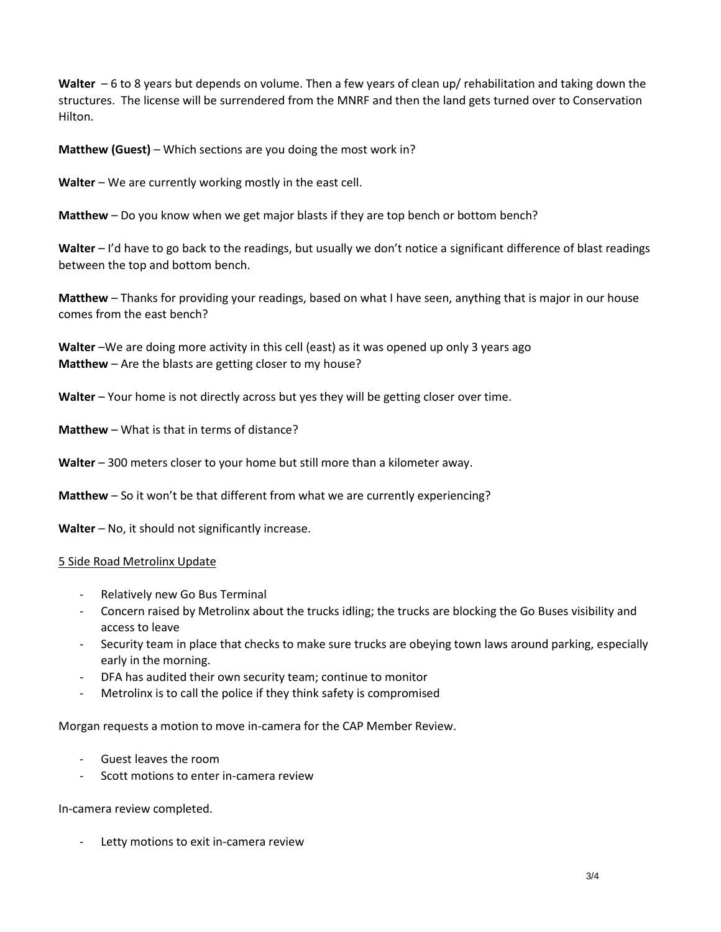**Walter** – 6 to 8 years but depends on volume. Then a few years of clean up/ rehabilitation and taking down the structures. The license will be surrendered from the MNRF and then the land gets turned over to Conservation Hilton.

**Matthew (Guest)** – Which sections are you doing the most work in?

Walter – We are currently working mostly in the east cell.

**Matthew** – Do you know when we get major blasts if they are top bench or bottom bench?

**Walter** – I'd have to go back to the readings, but usually we don't notice a significant difference of blast readings between the top and bottom bench.

**Matthew** – Thanks for providing your readings, based on what I have seen, anything that is major in our house comes from the east bench?

**Walter** –We are doing more activity in this cell (east) as it was opened up only 3 years ago **Matthew** – Are the blasts are getting closer to my house?

**Walter** – Your home is not directly across but yes they will be getting closer over time.

**Matthew** – What is that in terms of distance?

**Walter** – 300 meters closer to your home but still more than a kilometer away.

**Matthew** – So it won't be that different from what we are currently experiencing?

**Walter** – No, it should not significantly increase.

5 Side Road Metrolinx Update

- Relatively new Go Bus Terminal
- Concern raised by Metrolinx about the trucks idling; the trucks are blocking the Go Buses visibility and access to leave
- Security team in place that checks to make sure trucks are obeying town laws around parking, especially early in the morning.
- DFA has audited their own security team; continue to monitor
- Metrolinx is to call the police if they think safety is compromised

Morgan requests a motion to move in-camera for the CAP Member Review.

- Guest leaves the room
- Scott motions to enter in-camera review

In-camera review completed.

Letty motions to exit in-camera review